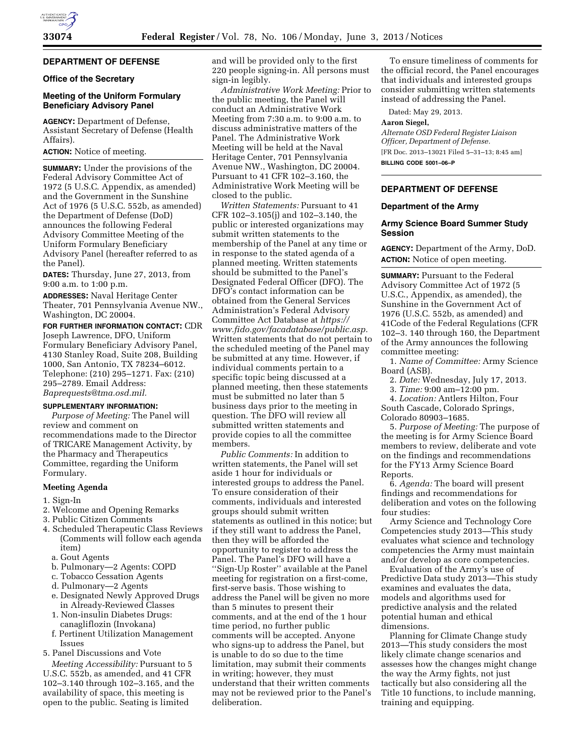# **DEPARTMENT OF DEFENSE**

## **Office of the Secretary**

## **Meeting of the Uniform Formulary Beneficiary Advisory Panel**

**AGENCY:** Department of Defense, Assistant Secretary of Defense (Health Affairs).

## **ACTION:** Notice of meeting.

**SUMMARY:** Under the provisions of the Federal Advisory Committee Act of 1972 (5 U.S.C. Appendix, as amended) and the Government in the Sunshine Act of 1976 (5 U.S.C. 552b, as amended) the Department of Defense (DoD) announces the following Federal Advisory Committee Meeting of the Uniform Formulary Beneficiary Advisory Panel (hereafter referred to as the Panel).

**DATES:** Thursday, June 27, 2013, from 9:00 a.m. to 1:00 p.m.

**ADDRESSES:** Naval Heritage Center Theater, 701 Pennsylvania Avenue NW., Washington, DC 20004.

**FOR FURTHER INFORMATION CONTACT:** CDR Joseph Lawrence, DFO, Uniform Formulary Beneficiary Advisory Panel, 4130 Stanley Road, Suite 208, Building 1000, San Antonio, TX 78234–6012. Telephone: (210) 295–1271. Fax: (210) 295–2789. Email Address: *[Baprequests@tma.osd.mil.](mailto:Baprequests@tma.osd.mil)* 

## **SUPPLEMENTARY INFORMATION:**

*Purpose of Meeting:* The Panel will review and comment on recommendations made to the Director of TRICARE Management Activity, by the Pharmacy and Therapeutics Committee, regarding the Uniform Formulary.

#### **Meeting Agenda**

#### 1. Sign-In

- 2. Welcome and Opening Remarks
- 3. Public Citizen Comments
- 4. Scheduled Therapeutic Class Reviews (Comments will follow each agenda item)
	- a. Gout Agents
	- b. Pulmonary—2 Agents: COPD
	- c. Tobacco Cessation Agents
	- d. Pulmonary—2 Agents
	- e. Designated Newly Approved Drugs in Already-Reviewed Classes
	- 1. Non-insulin Diabetes Drugs: canagliflozin (Invokana)
	- f. Pertinent Utilization Management Issues
- 5. Panel Discussions and Vote

*Meeting Accessibility:* Pursuant to 5 U.S.C. 552b, as amended, and 41 CFR 102–3.140 through 102–3.165, and the availability of space, this meeting is open to the public. Seating is limited

and will be provided only to the first 220 people signing-in. All persons must sign-in legibly.

*Administrative Work Meeting:* Prior to the public meeting, the Panel will conduct an Administrative Work Meeting from 7:30 a.m. to 9:00 a.m. to discuss administrative matters of the Panel. The Administrative Work Meeting will be held at the Naval Heritage Center, 701 Pennsylvania Avenue NW., Washington, DC 20004. Pursuant to 41 CFR 102–3.160, the Administrative Work Meeting will be closed to the public.

*Written Statements:* Pursuant to 41 CFR 102–3.105(j) and 102–3.140, the public or interested organizations may submit written statements to the membership of the Panel at any time or in response to the stated agenda of a planned meeting. Written statements should be submitted to the Panel's Designated Federal Officer (DFO). The DFO's contact information can be obtained from the General Services Administration's Federal Advisory Committee Act Database at *[https://](https://www.fido.gov/facadatabase/public.asp)  [www.fido.gov/facadatabase/public.asp.](https://www.fido.gov/facadatabase/public.asp)*  Written statements that do not pertain to the scheduled meeting of the Panel may be submitted at any time. However, if individual comments pertain to a specific topic being discussed at a planned meeting, then these statements must be submitted no later than 5 business days prior to the meeting in question. The DFO will review all submitted written statements and provide copies to all the committee members.

*Public Comments:* In addition to written statements, the Panel will set aside 1 hour for individuals or interested groups to address the Panel. To ensure consideration of their comments, individuals and interested groups should submit written statements as outlined in this notice; but if they still want to address the Panel, then they will be afforded the opportunity to register to address the Panel. The Panel's DFO will have a ''Sign-Up Roster'' available at the Panel meeting for registration on a first-come, first-serve basis. Those wishing to address the Panel will be given no more than 5 minutes to present their comments, and at the end of the 1 hour time period, no further public comments will be accepted. Anyone who signs-up to address the Panel, but is unable to do so due to the time limitation, may submit their comments in writing; however, they must understand that their written comments may not be reviewed prior to the Panel's deliberation.

To ensure timeliness of comments for the official record, the Panel encourages that individuals and interested groups consider submitting written statements instead of addressing the Panel.

Dated: May 29, 2013.

#### **Aaron Siegel,**

*Alternate OSD Federal Register Liaison Officer, Department of Defense.*  [FR Doc. 2013–13021 Filed 5–31–13; 8:45 am] **BILLING CODE 5001–06–P** 

## **DEPARTMENT OF DEFENSE**

#### **Department of the Army**

## **Army Science Board Summer Study Session**

**AGENCY:** Department of the Army, DoD. **ACTION:** Notice of open meeting.

**SUMMARY:** Pursuant to the Federal Advisory Committee Act of 1972 (5 U.S.C., Appendix, as amended), the Sunshine in the Government Act of 1976 (U.S.C. 552b, as amended) and 41Code of the Federal Regulations (CFR 102–3. 140 through 160, the Department of the Army announces the following committee meeting:

1. *Name of Committee:* Army Science Board (ASB).

2. *Date:* Wednesday, July 17, 2013.

3. *Time:* 9:00 am–12:00 pm.

4. *Location:* Antlers Hilton, Four South Cascade, Colorado Springs, Colorado 80903–1685.

5. *Purpose of Meeting:* The purpose of the meeting is for Army Science Board members to review, deliberate and vote on the findings and recommendations for the FY13 Army Science Board Reports.

6. *Agenda:* The board will present findings and recommendations for deliberation and votes on the following four studies:

Army Science and Technology Core Competencies study 2013—This study evaluates what science and technology competencies the Army must maintain and/or develop as core competencies.

Evaluation of the Army's use of Predictive Data study 2013—This study examines and evaluates the data, models and algorithms used for predictive analysis and the related potential human and ethical dimensions.

Planning for Climate Change study 2013—This study considers the most likely climate change scenarios and assesses how the changes might change the way the Army fights, not just tactically but also considering all the Title 10 functions, to include manning, training and equipping.